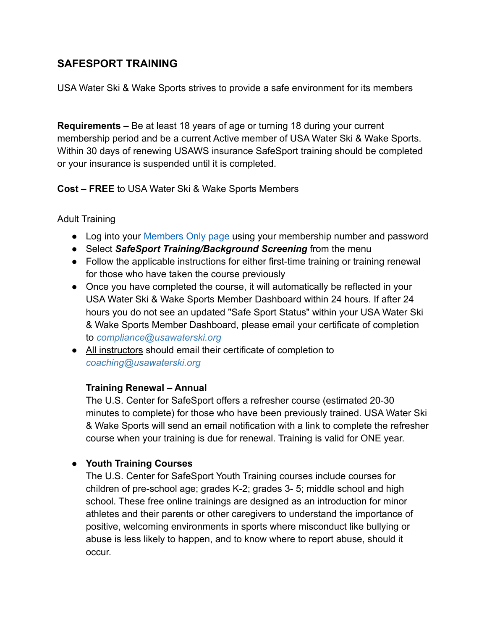## **SAFESPORT TRAINING**

USA Water Ski & Wake Sports strives to provide a safe environment for its members

**Requirements –** Be at least 18 years of age or turning 18 during your current membership period and be a current Active member of USA Water Ski & Wake Sports. Within 30 days of renewing USAWS insurance SafeSport training should be completed or your insurance is suspended until it is completed.

**Cost – FREE** to USA Water Ski & Wake Sports Members

## Adult Training

- Log into your [Members Only page](https://www.usawaterski.org/members/login/index.asp) using your membership number and password
- Select *SafeSport Training/Background Screening* from the menu
- Follow the applicable instructions for either first-time training or training renewal for those who have taken the course previously
- Once you have completed the course, it will automatically be reflected in your USA Water Ski & Wake Sports Member Dashboard within 24 hours. If after 24 hours you do not see an updated "Safe Sport Status" within your USA Water Ski & Wake Sports Member Dashboard, please email your certificate of completion to *compliance@usawaterski.org*
- All instructors should email their certificate of completion to *coaching@usawaterski.org*

## **Training Renewal – Annual**

The U.S. Center for SafeSport offers a refresher course (estimated 20-30 minutes to complete) for those who have been previously trained. USA Water Ski & Wake Sports will send an email notification with a link to complete the refresher course when your training is due for renewal. Training is valid for ONE year.

## ● **Youth Training Courses**

The U.S. Center for SafeSport Youth Training courses include courses for children of pre-school age; grades K-2; grades 3- 5; middle school and high school. These free online trainings are designed as an introduction for minor athletes and their parents or other caregivers to understand the importance of positive, welcoming environments in sports where misconduct like bullying or abuse is less likely to happen, and to know where to report abuse, should it occur.